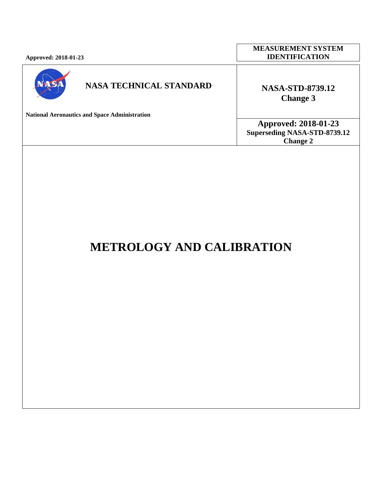| <b>Approved: 2018-01-23</b> |  |
|-----------------------------|--|
|                             |  |



## **NASA TECHNICAL STANDARD NASA-STD-8739.12**

**National Aeronautics and Space Administration**

**MEASUREMENT SYSTEM IDENTIFICATION**

# **Change 3**

**Approved: 2018-01-23 Superseding NASA-STD-8739.12 Change 2**

# **METROLOGY AND CALIBRATION**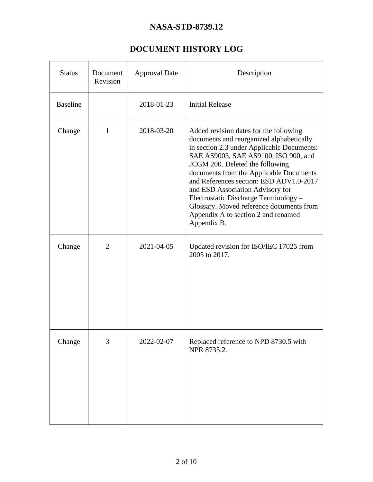## **DOCUMENT HISTORY LOG**

<span id="page-1-0"></span>

| <b>Status</b>   | Document<br>Revision | <b>Approval Date</b> | Description                                                                                                                                                                                                                                                                                                                                                                                                                                                                      |
|-----------------|----------------------|----------------------|----------------------------------------------------------------------------------------------------------------------------------------------------------------------------------------------------------------------------------------------------------------------------------------------------------------------------------------------------------------------------------------------------------------------------------------------------------------------------------|
| <b>Baseline</b> |                      | 2018-01-23           | <b>Initial Release</b>                                                                                                                                                                                                                                                                                                                                                                                                                                                           |
| Change          | 1                    | 2018-03-20           | Added revision dates for the following<br>documents and reorganized alphabetically<br>in section 2.3 under Applicable Documents:<br>SAE AS9003, SAE AS9100, ISO 900, and<br>JCGM 200. Deleted the following<br>documents from the Applicable Documents<br>and References section: ESD ADV1.0-2017<br>and ESD Association Advisory for<br>Electrostatic Discharge Terminology -<br>Glossary. Moved reference documents from<br>Appendix A to section 2 and renamed<br>Appendix B. |
| Change          | $\overline{2}$       | 2021-04-05           | Updated revision for ISO/IEC 17025 from<br>2005 to 2017.                                                                                                                                                                                                                                                                                                                                                                                                                         |
| Change          | 3                    | 2022-02-07           | Replaced reference to NPD 8730.5 with<br>NPR 8735.2.                                                                                                                                                                                                                                                                                                                                                                                                                             |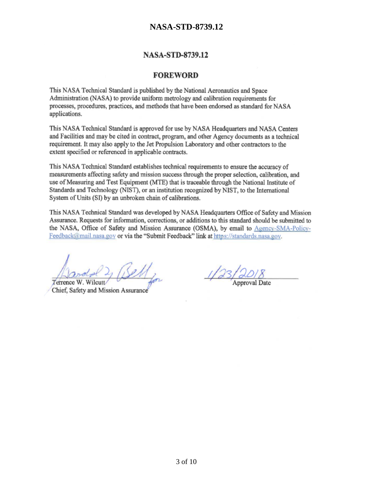#### **NASA-STD-8739.12**

#### **FOREWORD**

This NASA Technical Standard is published by the National Aeronautics and Space Administration (NASA) to provide uniform metrology and calibration requirements for processes, procedures, practices, and methods that have been endorsed as standard for NASA applications.

This NASA Technical Standard is approved for use by NASA Headquarters and NASA Centers and Facilities and may be cited in contract, program, and other Agency documents as a technical requirement. It may also apply to the Jet Propulsion Laboratory and other contractors to the extent specified or referenced in applicable contracts.

This NASA Technical Standard establishes technical requirements to ensure the accuracy of measurements affecting safety and mission success through the proper selection, calibration, and use of Measuring and Test Equipment (MTE) that is traceable through the National Institute of Standards and Technology (NIST), or an institution recognized by NIST, to the International System of Units (SI) by an unbroken chain of calibrations.

This NASA Technical Standard was developed by NASA Headquarters Office of Safety and Mission Assurance. Requests for information, corrections, or additions to this standard should be submitted to the NASA, Office of Safety and Mission Assurance (OSMA), by email to Agency-SMA-Policy-Feedback@mail.nasa.gov or via the "Submit Feedback" link at https://standards.nasa.gov.

Terrence W. Wilcut

Chief, Safety and Mission Assurance

3 of 10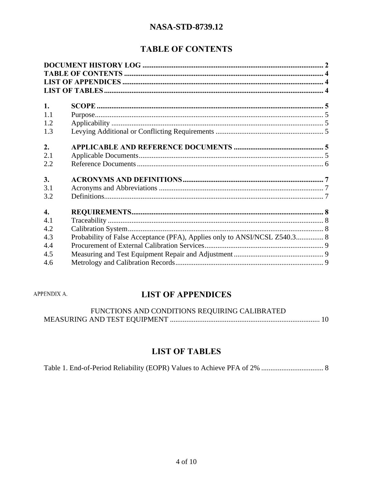## **TABLE OF CONTENTS**

<span id="page-3-0"></span>

| 1.               |                                                                           |  |
|------------------|---------------------------------------------------------------------------|--|
| 1.1              |                                                                           |  |
| 1.2              |                                                                           |  |
| 1.3              |                                                                           |  |
| 2.<br>2.1<br>2.2 |                                                                           |  |
| 3.<br>3.1<br>3.2 |                                                                           |  |
|                  |                                                                           |  |
| $\overline{4}$ . |                                                                           |  |
| 4.1              |                                                                           |  |
| 4.2              |                                                                           |  |
| 4.3              | Probability of False Acceptance (PFA), Applies only to ANSI/NCSL Z540.3 8 |  |
| 4.4              |                                                                           |  |
| 4.5              |                                                                           |  |
| 4.6              |                                                                           |  |

<span id="page-3-1"></span>APPENDIX A.

## **LIST OF APPENDICES**

| FUNCTIONS AND CONDITIONS REQUIRING CALIBRATED |  |
|-----------------------------------------------|--|
|                                               |  |

## **LIST OF TABLES**

<span id="page-3-2"></span>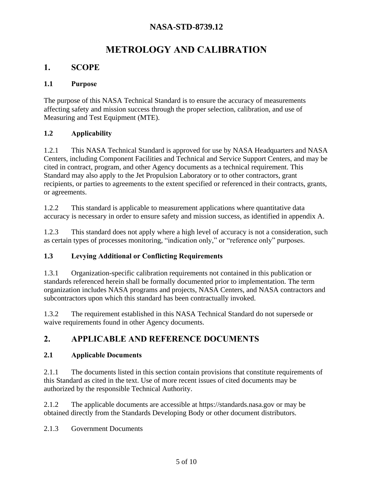## **METROLOGY AND CALIBRATION**

## <span id="page-4-0"></span>**1. SCOPE**

#### <span id="page-4-1"></span>**1.1 Purpose**

The purpose of this NASA Technical Standard is to ensure the accuracy of measurements affecting safety and mission success through the proper selection, calibration, and use of Measuring and Test Equipment (MTE).

#### <span id="page-4-2"></span>**1.2 Applicability**

1.2.1 This NASA Technical Standard is approved for use by NASA Headquarters and NASA Centers, including Component Facilities and Technical and Service Support Centers, and may be cited in contract, program, and other Agency documents as a technical requirement. This Standard may also apply to the Jet Propulsion Laboratory or to other contractors, grant recipients, or parties to agreements to the extent specified or referenced in their contracts, grants, or agreements.

1.2.2 This standard is applicable to measurement applications where quantitative data accuracy is necessary in order to ensure safety and mission success, as identified in appendix A.

1.2.3 This standard does not apply where a high level of accuracy is not a consideration, such as certain types of processes monitoring, "indication only," or "reference only" purposes.

#### <span id="page-4-3"></span>**1.3 Levying Additional or Conflicting Requirements**

1.3.1 Organization-specific calibration requirements not contained in this publication or standards referenced herein shall be formally documented prior to implementation. The term organization includes NASA programs and projects, NASA Centers, and NASA contractors and subcontractors upon which this standard has been contractually invoked.

1.3.2 The requirement established in this NASA Technical Standard do not supersede or waive requirements found in other Agency documents.

## <span id="page-4-4"></span>**2. APPLICABLE AND REFERENCE DOCUMENTS**

#### <span id="page-4-5"></span>**2.1 Applicable Documents**

2.1.1 The documents listed in this section contain provisions that constitute requirements of this Standard as cited in the text. Use of more recent issues of cited documents may be authorized by the responsible Technical Authority.

2.1.2 The applicable documents are accessible at https://standards.nasa.gov or may be obtained directly from the Standards Developing Body or other document distributors.

2.1.3 Government Documents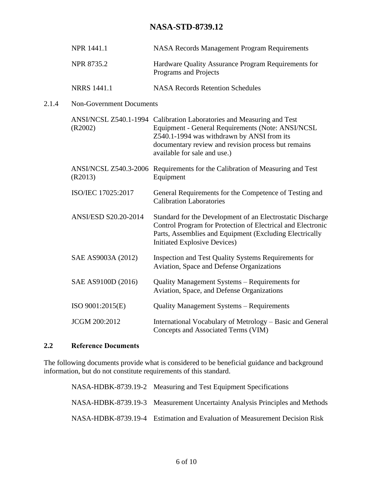| NPR 1441.1                      | <b>NASA Records Management Program Requirements</b>                                                                                                                                                                                                             |
|---------------------------------|-----------------------------------------------------------------------------------------------------------------------------------------------------------------------------------------------------------------------------------------------------------------|
| NPR 8735.2                      | Hardware Quality Assurance Program Requirements for<br>Programs and Projects                                                                                                                                                                                    |
| <b>NRRS</b> 1441.1              | <b>NASA Records Retention Schedules</b>                                                                                                                                                                                                                         |
| <b>Non-Government Documents</b> |                                                                                                                                                                                                                                                                 |
| (R2002)                         | ANSI/NCSL Z540.1-1994 Calibration Laboratories and Measuring and Test<br>Equipment - General Requirements (Note: ANSI/NCSL<br>Z540.1-1994 was withdrawn by ANSI from its<br>documentary review and revision process but remains<br>available for sale and use.) |
| (R2013)                         | ANSI/NCSL Z540.3-2006 Requirements for the Calibration of Measuring and Test<br>Equipment                                                                                                                                                                       |
| ISO/IEC 17025:2017              | General Requirements for the Competence of Testing and<br><b>Calibration Laboratories</b>                                                                                                                                                                       |
| ANSI/ESD S20.20-2014            | Standard for the Development of an Electrostatic Discharge<br>Control Program for Protection of Electrical and Electronic<br>Parts, Assemblies and Equipment (Excluding Electrically<br><b>Initiated Explosive Devices)</b>                                     |
| SAE AS9003A (2012)              | Inspection and Test Quality Systems Requirements for<br>Aviation, Space and Defense Organizations                                                                                                                                                               |
| SAE AS9100D (2016)              | Quality Management Systems - Requirements for<br>Aviation, Space, and Defense Organizations                                                                                                                                                                     |
| ISO 9001:2015(E)                | <b>Quality Management Systems - Requirements</b>                                                                                                                                                                                                                |
| <b>JCGM 200:2012</b>            | International Vocabulary of Metrology - Basic and General<br>Concepts and Associated Terms (VIM)                                                                                                                                                                |

## <span id="page-5-0"></span>**2.2 Reference Documents**

 $2.1.4$ 

The following documents provide what is considered to be beneficial guidance and background information, but do not constitute requirements of this standard.

| NASA-HDBK-8739.19-2 Measuring and Test Equipment Specifications             |
|-----------------------------------------------------------------------------|
| NASA-HDBK-8739.19-3 Measurement Uncertainty Analysis Principles and Methods |
| NASA-HDBK-8739.19-4 Estimation and Evaluation of Measurement Decision Risk  |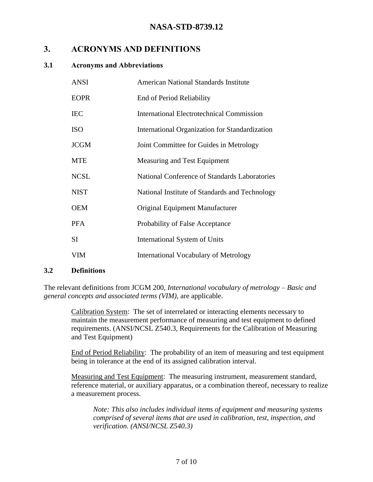## <span id="page-6-0"></span>**3. ACRONYMS AND DEFINITIONS**

#### <span id="page-6-1"></span>**3.1 Acronyms and Abbreviations**

| <b>ANSI</b> | <b>American National Standards Institute</b>     |
|-------------|--------------------------------------------------|
| <b>EOPR</b> | End of Period Reliability                        |
| <b>IEC</b>  | <b>International Electrotechnical Commission</b> |
| <b>ISO</b>  | International Organization for Standardization   |
| <b>JCGM</b> | Joint Committee for Guides in Metrology          |
| <b>MTE</b>  | Measuring and Test Equipment                     |
| <b>NCSL</b> | National Conference of Standards Laboratories    |
| <b>NIST</b> | National Institute of Standards and Technology   |
| <b>OEM</b>  | Original Equipment Manufacturer                  |
| <b>PFA</b>  | Probability of False Acceptance                  |
| <b>SI</b>   | International System of Units                    |
| VIM         | International Vocabulary of Metrology            |

#### <span id="page-6-2"></span>**3.2 Definitions**

The relevant definitions from JCGM 200, *International vocabulary of metrology – Basic and general concepts and associated terms (VIM)*, are applicable.

Calibration System: The set of interrelated or interacting elements necessary to maintain the measurement performance of measuring and test equipment to defined requirements. (ANSI/NCSL Z540.3, Requirements for the Calibration of Measuring and Test Equipment)

End of Period Reliability: The probability of an item of measuring and test equipment being in tolerance at the end of its assigned calibration interval.

Measuring and Test Equipment: The measuring instrument, measurement standard, reference material, or auxiliary apparatus, or a combination thereof, necessary to realize a measurement process.

*Note: This also includes individual items of equipment and measuring systems comprised of several items that are used in calibration, test, inspection, and verification. (ANSI/NCSL Z540.3)*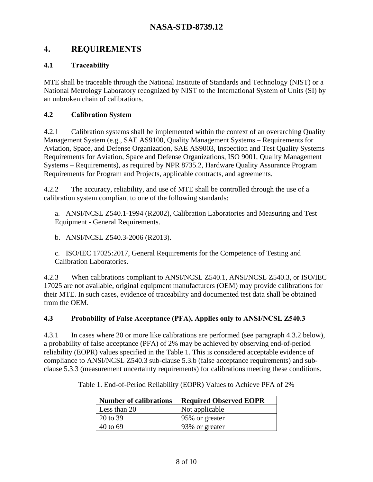## <span id="page-7-0"></span>**4. REQUIREMENTS**

#### <span id="page-7-1"></span>**4.1 Traceability**

MTE shall be traceable through the National Institute of Standards and Technology (NIST) or a National Metrology Laboratory recognized by NIST to the International System of Units (SI) by an unbroken chain of calibrations.

#### <span id="page-7-2"></span>**4.2 Calibration System**

4.2.1 Calibration systems shall be implemented within the context of an overarching Quality Management System (e.g., SAE AS9100, Quality Management Systems – Requirements for Aviation, Space, and Defense Organization, SAE AS9003, Inspection and Test Quality Systems Requirements for Aviation, Space and Defense Organizations, ISO 9001, Quality Management Systems – Requirements), as required by NPR 8735.2, Hardware Quality Assurance Program Requirements for Program and Projects, applicable contracts, and agreements.

4.2.2 The accuracy, reliability, and use of MTE shall be controlled through the use of a calibration system compliant to one of the following standards:

a. ANSI/NCSL Z540.1-1994 (R2002), Calibration Laboratories and Measuring and Test Equipment - General Requirements.

b. ANSI/NCSL Z540.3-2006 (R2013).

c. ISO/IEC 17025:2017, General Requirements for the Competence of Testing and Calibration Laboratories.

4.2.3 When calibrations compliant to ANSI/NCSL Z540.1, ANSI/NCSL Z540.3, or ISO/IEC 17025 are not available, original equipment manufacturers (OEM) may provide calibrations for their MTE. In such cases, evidence of traceability and documented test data shall be obtained from the OEM.

#### <span id="page-7-3"></span>**4.3 Probability of False Acceptance (PFA), Applies only to ANSI/NCSL Z540.3**

4.3.1 In cases where 20 or more like calibrations are performed (see paragraph 4.3.2 below), a probability of false acceptance (PFA) of 2% may be achieved by observing end-of-period reliability (EOPR) values specified in the [Table 1.](#page-7-4) This is considered acceptable evidence of compliance to ANSI/NCSL Z540.3 sub-clause 5.3.b (false acceptance requirements) and subclause 5.3.3 (measurement uncertainty requirements) for calibrations meeting these conditions.

| <b>Number of calibrations</b> | <b>Required Observed EOPR</b> |
|-------------------------------|-------------------------------|
| Less than 20                  | Not applicable                |
| 20 to 39                      | 95% or greater                |
| 40 to 69                      | 93% or greater                |

<span id="page-7-4"></span>Table 1. End-of-Period Reliability (EOPR) Values to Achieve PFA of 2%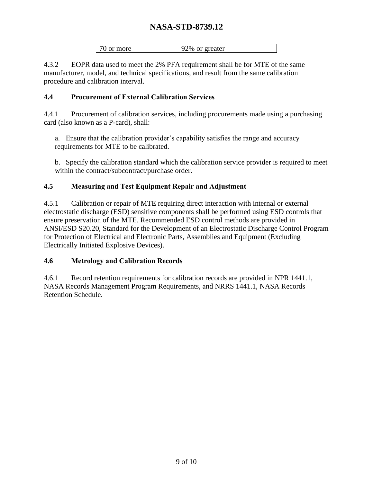| 70 or more<br>92% or greater |
|------------------------------|
|------------------------------|

4.3.2 EOPR data used to meet the 2% PFA requirement shall be for MTE of the same manufacturer, model, and technical specifications, and result from the same calibration procedure and calibration interval.

#### <span id="page-8-0"></span>**4.4 Procurement of External Calibration Services**

4.4.1 Procurement of calibration services, including procurements made using a purchasing card (also known as a P-card), shall:

a. Ensure that the calibration provider's capability satisfies the range and accuracy requirements for MTE to be calibrated.

b. Specify the calibration standard which the calibration service provider is required to meet within the contract/subcontract/purchase order.

#### <span id="page-8-1"></span>**4.5 Measuring and Test Equipment Repair and Adjustment**

4.5.1 Calibration or repair of MTE requiring direct interaction with internal or external electrostatic discharge (ESD) sensitive components shall be performed using ESD controls that ensure preservation of the MTE. Recommended ESD control methods are provided in ANSI/ESD S20.20, Standard for the Development of an Electrostatic Discharge Control Program for Protection of Electrical and Electronic Parts, Assemblies and Equipment (Excluding Electrically Initiated Explosive Devices).

#### <span id="page-8-2"></span>**4.6 Metrology and Calibration Records**

4.6.1 Record retention requirements for calibration records are provided in NPR 1441.1, NASA Records Management Program Requirements, and NRRS 1441.1, NASA Records Retention Schedule.